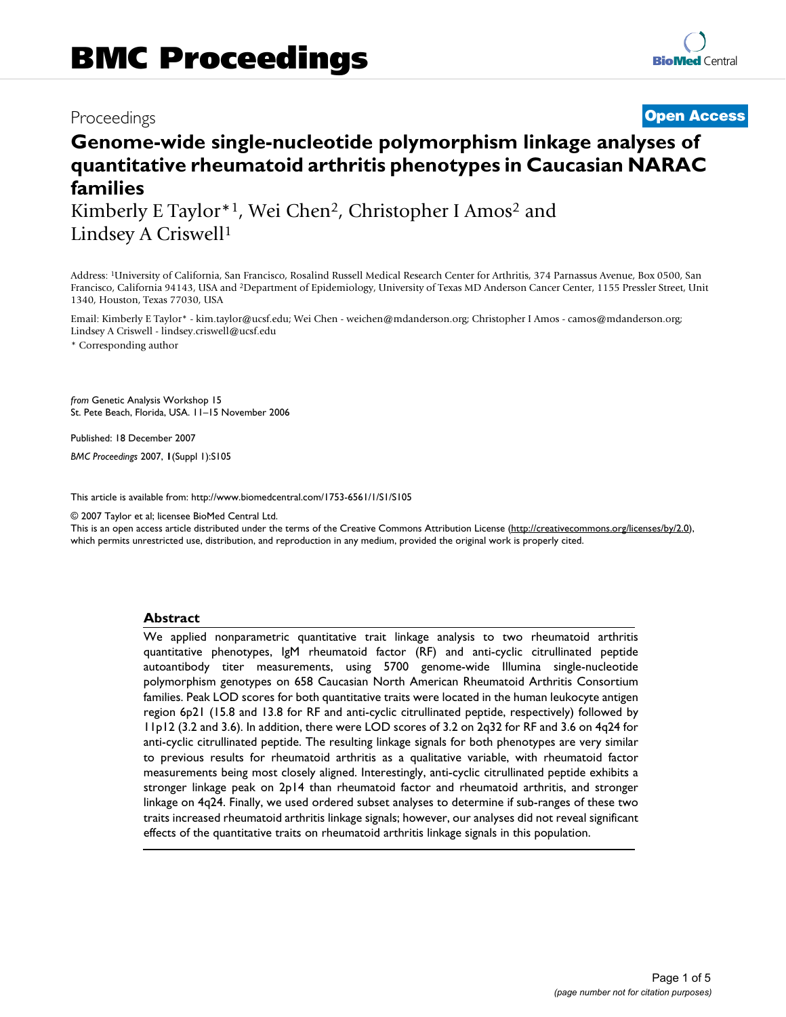# Proceedings **[Open Access](http://www.biomedcentral.com/info/about/charter/)**

# **Genome-wide single-nucleotide polymorphism linkage analyses of quantitative rheumatoid arthritis phenotypes in Caucasian NARAC families**

Kimberly E Taylor\*1, Wei Chen2, Christopher I Amos2 and Lindsey A Criswell1

Address: 1University of California, San Francisco, Rosalind Russell Medical Research Center for Arthritis, 374 Parnassus Avenue, Box 0500, San Francisco, California 94143, USA and 2Department of Epidemiology, University of Texas MD Anderson Cancer Center, 1155 Pressler Street, Unit 1340, Houston, Texas 77030, USA

Email: Kimberly E Taylor\* - kim.taylor@ucsf.edu; Wei Chen - weichen@mdanderson.org; Christopher I Amos - camos@mdanderson.org; Lindsey A Criswell - lindsey.criswell@ucsf.edu

\* Corresponding author

*from* Genetic Analysis Workshop 15 St. Pete Beach, Florida, USA. 11–15 November 2006

Published: 18 December 2007

*BMC Proceedings* 2007, **1**(Suppl 1):S105

[This article is available from: http://www.biomedcentral.com/1753-6561/1/S1/S105](http://www.biomedcentral.com/1753-6561/1/S1/S105)

© 2007 Taylor et al; licensee BioMed Central Ltd.

This is an open access article distributed under the terms of the Creative Commons Attribution License [\(http://creativecommons.org/licenses/by/2.0\)](http://creativecommons.org/licenses/by/2.0), which permits unrestricted use, distribution, and reproduction in any medium, provided the original work is properly cited.

### **Abstract**

We applied nonparametric quantitative trait linkage analysis to two rheumatoid arthritis quantitative phenotypes, IgM rheumatoid factor (RF) and anti-cyclic citrullinated peptide autoantibody titer measurements, using 5700 genome-wide Illumina single-nucleotide polymorphism genotypes on 658 Caucasian North American Rheumatoid Arthritis Consortium families. Peak LOD scores for both quantitative traits were located in the human leukocyte antigen region 6p21 (15.8 and 13.8 for RF and anti-cyclic citrullinated peptide, respectively) followed by 11p12 (3.2 and 3.6). In addition, there were LOD scores of 3.2 on 2q32 for RF and 3.6 on 4q24 for anti-cyclic citrullinated peptide. The resulting linkage signals for both phenotypes are very similar to previous results for rheumatoid arthritis as a qualitative variable, with rheumatoid factor measurements being most closely aligned. Interestingly, anti-cyclic citrullinated peptide exhibits a stronger linkage peak on 2p14 than rheumatoid factor and rheumatoid arthritis, and stronger linkage on 4q24. Finally, we used ordered subset analyses to determine if sub-ranges of these two traits increased rheumatoid arthritis linkage signals; however, our analyses did not reveal significant effects of the quantitative traits on rheumatoid arthritis linkage signals in this population.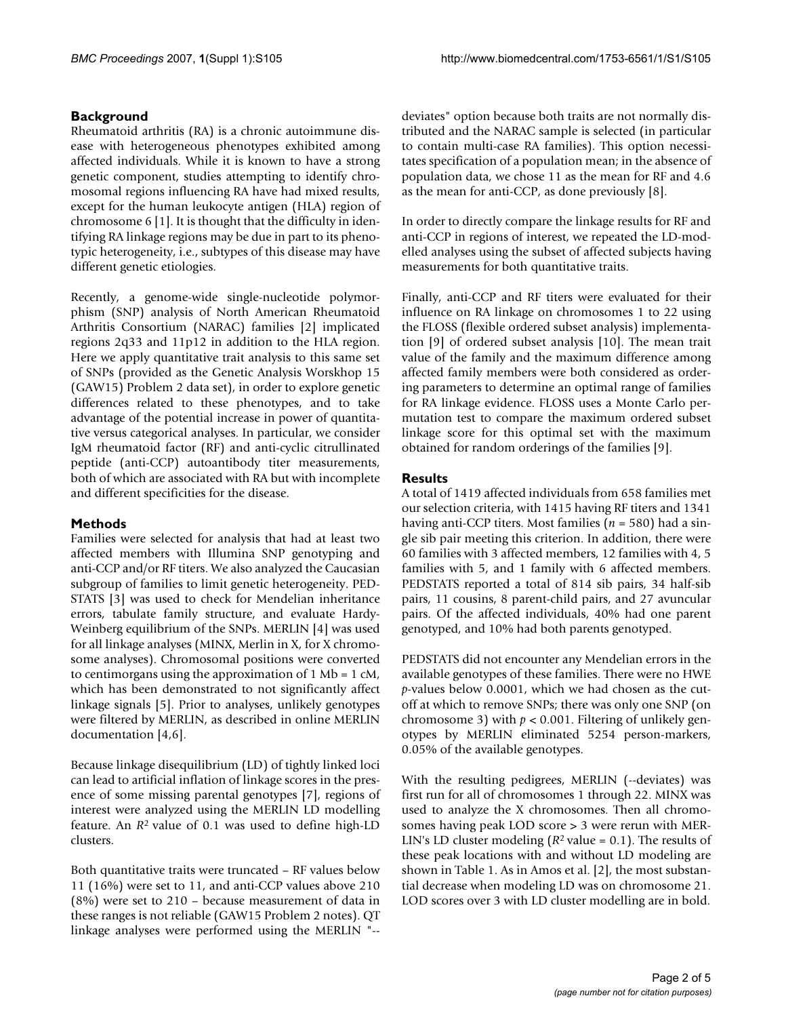# **Background**

Rheumatoid arthritis (RA) is a chronic autoimmune disease with heterogeneous phenotypes exhibited among affected individuals. While it is known to have a strong genetic component, studies attempting to identify chromosomal regions influencing RA have had mixed results, except for the human leukocyte antigen (HLA) region of chromosome 6 [1]. It is thought that the difficulty in identifying RA linkage regions may be due in part to its phenotypic heterogeneity, i.e., subtypes of this disease may have different genetic etiologies.

Recently, a genome-wide single-nucleotide polymorphism (SNP) analysis of North American Rheumatoid Arthritis Consortium (NARAC) families [2] implicated regions 2q33 and 11p12 in addition to the HLA region. Here we apply quantitative trait analysis to this same set of SNPs (provided as the Genetic Analysis Worskhop 15 (GAW15) Problem 2 data set), in order to explore genetic differences related to these phenotypes, and to take advantage of the potential increase in power of quantitative versus categorical analyses. In particular, we consider IgM rheumatoid factor (RF) and anti-cyclic citrullinated peptide (anti-CCP) autoantibody titer measurements, both of which are associated with RA but with incomplete and different specificities for the disease.

## **Methods**

Families were selected for analysis that had at least two affected members with Illumina SNP genotyping and anti-CCP and/or RF titers. We also analyzed the Caucasian subgroup of families to limit genetic heterogeneity. PED-STATS [3] was used to check for Mendelian inheritance errors, tabulate family structure, and evaluate Hardy-Weinberg equilibrium of the SNPs. MERLIN [4] was used for all linkage analyses (MINX, Merlin in X, for X chromosome analyses). Chromosomal positions were converted to centimorgans using the approximation of  $1 \text{ Mb} = 1 \text{ cM}$ , which has been demonstrated to not significantly affect linkage signals [5]. Prior to analyses, unlikely genotypes were filtered by MERLIN, as described in online MERLIN documentation [4,6].

Because linkage disequilibrium (LD) of tightly linked loci can lead to artificial inflation of linkage scores in the presence of some missing parental genotypes [7], regions of interest were analyzed using the MERLIN LD modelling feature. An *R*2 value of 0.1 was used to define high-LD clusters.

Both quantitative traits were truncated – RF values below 11 (16%) were set to 11, and anti-CCP values above 210 (8%) were set to 210 – because measurement of data in these ranges is not reliable (GAW15 Problem 2 notes). QT linkage analyses were performed using the MERLIN "--

deviates" option because both traits are not normally distributed and the NARAC sample is selected (in particular to contain multi-case RA families). This option necessitates specification of a population mean; in the absence of population data, we chose 11 as the mean for RF and 4.6 as the mean for anti-CCP, as done previously [8].

In order to directly compare the linkage results for RF and anti-CCP in regions of interest, we repeated the LD-modelled analyses using the subset of affected subjects having measurements for both quantitative traits.

Finally, anti-CCP and RF titers were evaluated for their influence on RA linkage on chromosomes 1 to 22 using the FLOSS (flexible ordered subset analysis) implementation [9] of ordered subset analysis [10]. The mean trait value of the family and the maximum difference among affected family members were both considered as ordering parameters to determine an optimal range of families for RA linkage evidence. FLOSS uses a Monte Carlo permutation test to compare the maximum ordered subset linkage score for this optimal set with the maximum obtained for random orderings of the families [9].

# **Results**

A total of 1419 affected individuals from 658 families met our selection criteria, with 1415 having RF titers and 1341 having anti-CCP titers. Most families (*n* = 580) had a single sib pair meeting this criterion. In addition, there were 60 families with 3 affected members, 12 families with 4, 5 families with 5, and 1 family with 6 affected members. PEDSTATS reported a total of 814 sib pairs, 34 half-sib pairs, 11 cousins, 8 parent-child pairs, and 27 avuncular pairs. Of the affected individuals, 40% had one parent genotyped, and 10% had both parents genotyped.

PEDSTATS did not encounter any Mendelian errors in the available genotypes of these families. There were no HWE *p*-values below 0.0001, which we had chosen as the cutoff at which to remove SNPs; there was only one SNP (on chromosome 3) with  $p < 0.001$ . Filtering of unlikely genotypes by MERLIN eliminated 5254 person-markers, 0.05% of the available genotypes.

With the resulting pedigrees, MERLIN (--deviates) was first run for all of chromosomes 1 through 22. MINX was used to analyze the X chromosomes. Then all chromosomes having peak LOD score > 3 were rerun with MER-LIN's LD cluster modeling  $(R^2 \text{ value} = 0.1)$ . The results of these peak locations with and without LD modeling are shown in Table 1. As in Amos et al. [2], the most substantial decrease when modeling LD was on chromosome 21. LOD scores over 3 with LD cluster modelling are in bold.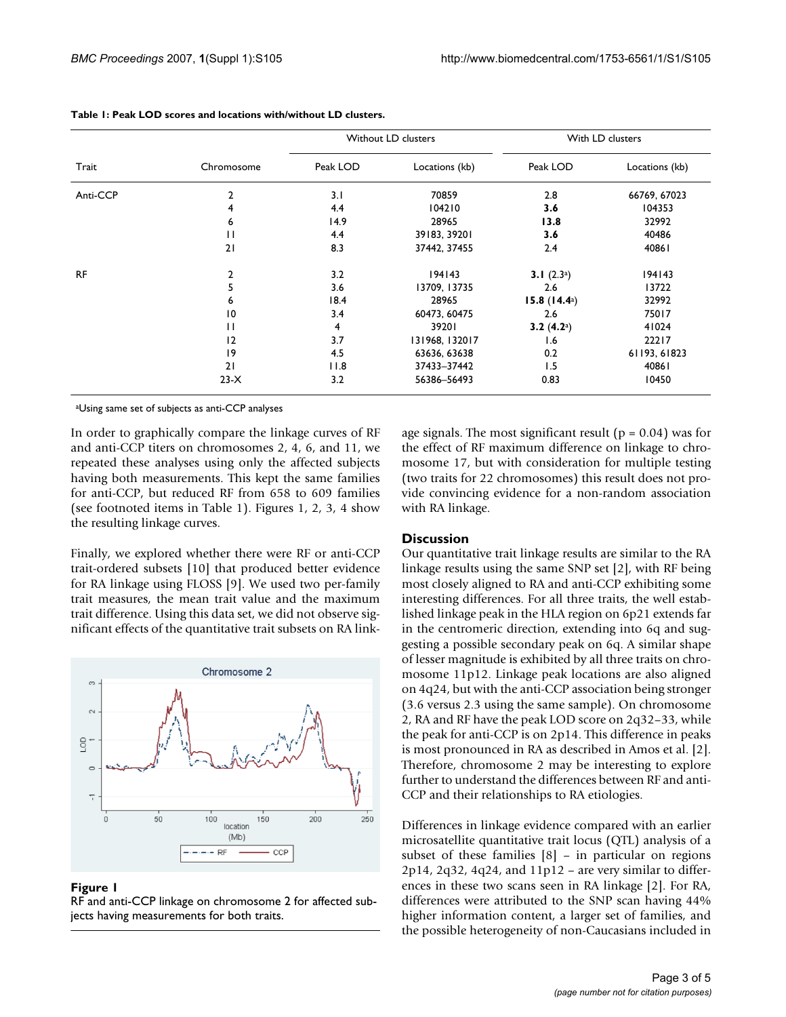|           | Chromosome   | Without LD clusters |                | With LD clusters      |                |
|-----------|--------------|---------------------|----------------|-----------------------|----------------|
| Trait     |              | Peak LOD            | Locations (kb) | Peak LOD              | Locations (kb) |
| Anti-CCP  | 2            | 3.1                 | 70859          | 2.8                   | 66769, 67023   |
|           | 4            | 4.4                 | 104210         | 3.6                   | 104353         |
|           | 6            | 14.9                | 28965          | 13.8                  | 32992          |
|           | $\mathbf{H}$ | 4.4                 | 39183, 39201   | 3.6                   | 40486          |
|           | 21           | 8.3                 | 37442, 37455   | 2.4                   | 40861          |
| <b>RF</b> | 2            | 3.2                 | 194143         | 3.1 $(2.3a)$          | 194143         |
|           | 5            | 3.6                 | 13709, 13735   | 2.6                   | 13722          |
|           | 6            | 18.4                | 28965          | 15.8 $(14.4^{\circ})$ | 32992          |
|           | 10           | 3.4                 | 60473, 60475   | 2.6                   | 75017          |
|           | $\mathbf{H}$ | $\overline{4}$      | 39201          | 3.2 $(4.2)$           | 41024          |
|           | 12           | 3.7                 | 131968, 132017 | 1.6                   | 22217          |
|           | 9            | 4.5                 | 63636, 63638   | 0.2                   | 61193, 61823   |
|           | 21           | 11.8                | 37433-37442    | 1.5                   | 40861          |
|           | $23-X$       | 3.2                 | 56386-56493    | 0.83                  | 10450          |

| Table 1: Peak LOD scores and locations with/without LD clusters. |  |  |  |
|------------------------------------------------------------------|--|--|--|
|------------------------------------------------------------------|--|--|--|

aUsing same set of subjects as anti-CCP analyses

In order to graphically compare the linkage curves of RF and anti-CCP titers on chromosomes 2, 4, 6, and 11, we repeated these analyses using only the affected subjects having both measurements. This kept the same families for anti-CCP, but reduced RF from 658 to 609 families (see footnoted items in Table 1). Figures 1, 2, 3, 4 show the resulting linkage curves.

Finally, we explored whether there were RF or anti-CCP trait-ordered subsets [10] that produced better evidence for RA linkage using FLOSS [9]. We used two per-family trait measures, the mean trait value and the maximum trait difference. Using this data set, we did not observe significant effects of the quantitative trait subsets on RA link-



#### Figure 1

RF and anti-CCP linkage on chromosome 2 for affected subjects having measurements for both traits.

age signals. The most significant result ( $p = 0.04$ ) was for the effect of RF maximum difference on linkage to chromosome 17, but with consideration for multiple testing (two traits for 22 chromosomes) this result does not provide convincing evidence for a non-random association with RA linkage.

### **Discussion**

Our quantitative trait linkage results are similar to the RA linkage results using the same SNP set [2], with RF being most closely aligned to RA and anti-CCP exhibiting some interesting differences. For all three traits, the well established linkage peak in the HLA region on 6p21 extends far in the centromeric direction, extending into 6q and suggesting a possible secondary peak on 6q. A similar shape of lesser magnitude is exhibited by all three traits on chromosome 11p12. Linkage peak locations are also aligned on 4q24, but with the anti-CCP association being stronger (3.6 versus 2.3 using the same sample). On chromosome 2, RA and RF have the peak LOD score on 2q32–33, while the peak for anti-CCP is on 2p14. This difference in peaks is most pronounced in RA as described in Amos et al. [2]. Therefore, chromosome 2 may be interesting to explore further to understand the differences between RF and anti-CCP and their relationships to RA etiologies.

Differences in linkage evidence compared with an earlier microsatellite quantitative trait locus (QTL) analysis of a subset of these families [8] – in particular on regions  $2p14$ ,  $2q32$ ,  $4q24$ , and  $11p12$  – are very similar to differences in these two scans seen in RA linkage [2]. For RA, differences were attributed to the SNP scan having 44% higher information content, a larger set of families, and the possible heterogeneity of non-Caucasians included in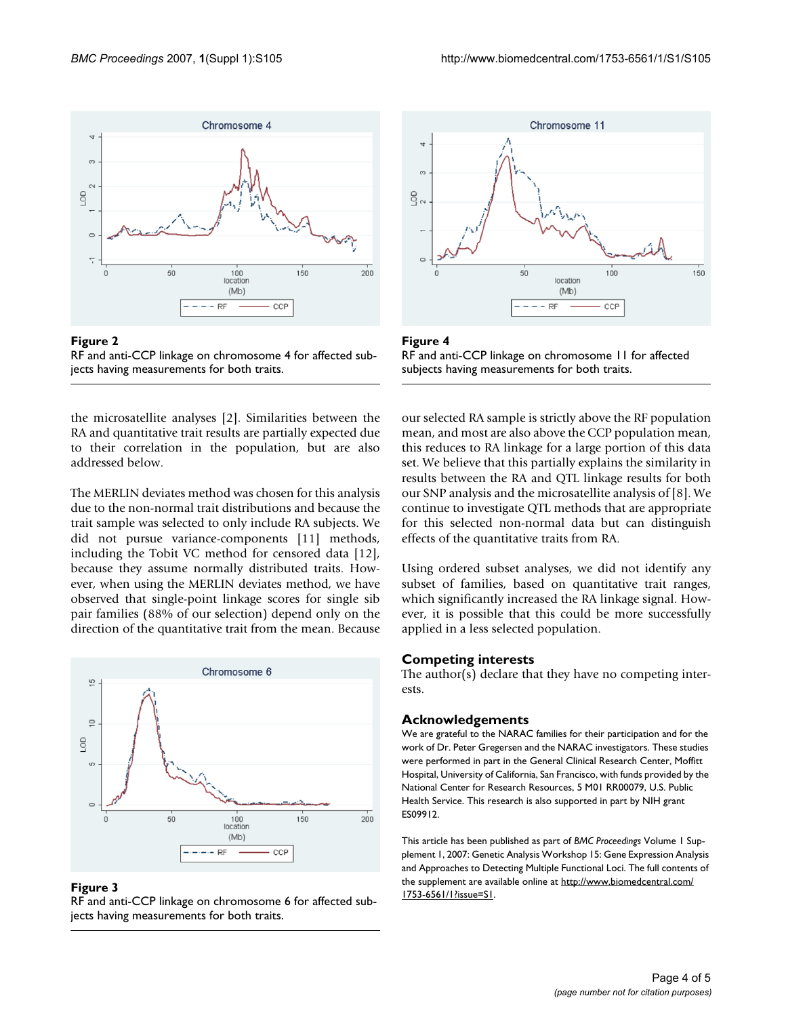



the microsatellite analyses [2]. Similarities between the RA and quantitative trait results are partially expected due to their correlation in the population, but are also addressed below.

The MERLIN deviates method was chosen for this analysis due to the non-normal trait distributions and because the trait sample was selected to only include RA subjects. We did not pursue variance-components [11] methods, including the Tobit VC method for censored data [12], because they assume normally distributed traits. However, when using the MERLIN deviates method, we have observed that single-point linkage scores for single sib pair families (88% of our selection) depend only on the direction of the quantitative trait from the mean. Because



#### Figure 3

RF and anti-CCP linkage on chromosome 6 for affected subjects having measurements for both traits.





our selected RA sample is strictly above the RF population mean, and most are also above the CCP population mean, this reduces to RA linkage for a large portion of this data set. We believe that this partially explains the similarity in results between the RA and QTL linkage results for both our SNP analysis and the microsatellite analysis of [8]. We continue to investigate QTL methods that are appropriate for this selected non-normal data but can distinguish effects of the quantitative traits from RA.

Using ordered subset analyses, we did not identify any subset of families, based on quantitative trait ranges, which significantly increased the RA linkage signal. However, it is possible that this could be more successfully applied in a less selected population.

#### **Competing interests**

The author(s) declare that they have no competing interests.

#### **Acknowledgements**

We are grateful to the NARAC families for their participation and for the work of Dr. Peter Gregersen and the NARAC investigators. These studies were performed in part in the General Clinical Research Center, Moffitt Hospital, University of California, San Francisco, with funds provided by the National Center for Research Resources, 5 M01 RR00079, U.S. Public Health Service. This research is also supported in part by NIH grant ES09912.

This article has been published as part of *BMC Proceedings* Volume 1 Supplement 1, 2007: Genetic Analysis Workshop 15: Gene Expression Analysis and Approaches to Detecting Multiple Functional Loci. The full contents of the supplement are available online at [http://www.biomedcentral.com/](http://www.biomedcentral.com/1753-6561/1?issue=S1) [1753-6561/1?issue=S1.](http://www.biomedcentral.com/1753-6561/1?issue=S1)